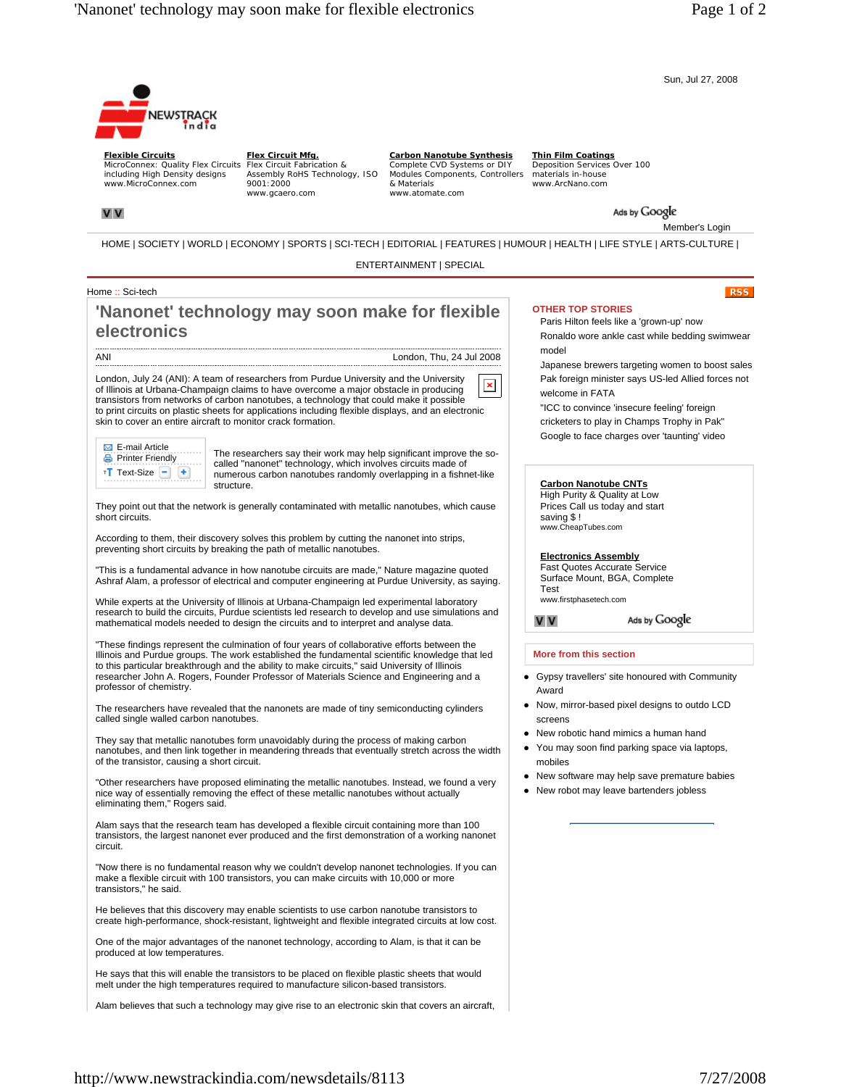Sun, Jul 27, 2008



**Flexible Circuits** MicroConnex: Quality Flex Circuits Flex Circuit Fabrication & including High Density designs www.MicroConnex.com

**Flex Circuit Mfg.** Assembly RoHS Technology, ISO 9001:2000 www.gcaero.com

**Carbon Nanotube Synthesis** Complete CVD Systems or DIY Modules Components, Controllers materials in-house & Materials www.atomate.com

**Thin Film Coatings** Deposition Services Over 100 www.ArcNano.com

Ads by Google

Member's Login

**RSS** 

HOME | SOCIETY | WORLD | ECONOMY | SPORTS | SCI-TECH | EDITORIAL | FEATURES | HUMOUR | HEALTH | LIFE STYLE | ARTS-CULTURE |

ENTERTAINMENT | SPECIAL

### Home :: Sci-tech

**V** V

# **'Nanonet' technology may soon make for flexible electronics**

ANI

London, Thu, 24 Jul 2008

London, July 24 (ANI): A team of researchers from Purdue University and the University  $\pmb{\times}$ of Illinois at Urbana-Champaign claims to have overcome a major obstacle in producing transistors from networks of carbon nanotubes, a technology that could make it possible to print circuits on plastic sheets for applications including flexible displays, and an electronic skin to cover an entire aircraft to monitor crack formation.



The researchers say their work may help significant improve the socalled "nanonet" technology, which involves circuits made of numerous carbon nanotubes randomly overlapping in a fishnet-like structure.

They point out that the network is generally contaminated with metallic nanotubes, which cause short circuits.

According to them, their discovery solves this problem by cutting the nanonet into strips, preventing short circuits by breaking the path of metallic nanotubes.

"This is a fundamental advance in how nanotube circuits are made," Nature magazine quoted Ashraf Alam, a professor of electrical and computer engineering at Purdue University, as saying.

While experts at the University of Illinois at Urbana-Champaign led experimental laboratory research to build the circuits, Purdue scientists led research to develop and use simulations and mathematical models needed to design the circuits and to interpret and analyse data.

"These findings represent the culmination of four years of collaborative efforts between the Illinois and Purdue groups. The work established the fundamental scientific knowledge that led to this particular breakthrough and the ability to make circuits," said University of Illinois researcher John A. Rogers, Founder Professor of Materials Science and Engineering and a professor of chemistry.

The researchers have revealed that the nanonets are made of tiny semiconducting cylinders called single walled carbon nanotubes.

They say that metallic nanotubes form unavoidably during the process of making carbon nanotubes, and then link together in meandering threads that eventually stretch across the width of the transistor, causing a short circuit.

"Other researchers have proposed eliminating the metallic nanotubes. Instead, we found a very nice way of essentially removing the effect of these metallic nanotubes without actually eliminating them," Rogers said.

Alam says that the research team has developed a flexible circuit containing more than 100 transistors, the largest nanonet ever produced and the first demonstration of a working nanonet circuit.

"Now there is no fundamental reason why we couldn't develop nanonet technologies. If you can make a flexible circuit with 100 transistors, you can make circuits with 10,000 or more transistors," he said.

He believes that this discovery may enable scientists to use carbon nanotube transistors to create high-performance, shock-resistant, lightweight and flexible integrated circuits at low cost.

One of the major advantages of the nanonet technology, according to Alam, is that it can be produced at low temperatures.

He says that this will enable the transistors to be placed on flexible plastic sheets that would melt under the high temperatures required to manufacture silicon-based transistors.

Alam believes that such a technology may give rise to an electronic skin that covers an aircraft,

## **OTHER TOP STORIES**

Paris Hilton feels like a 'grown-up' now Ronaldo wore ankle cast while bedding swimwear model

Japanese brewers targeting women to boost sales Pak foreign minister says US-led Allied forces not welcome in FATA

"ICC to convince 'insecure feeling' foreign cricketers to play in Champs Trophy in Pak" Google to face charges over 'taunting' video

### **Carbon Nanotube CNTs**

High Purity & Quality at Low Prices Call us today and start saving \$ ! www.CheapTubes.com

### **Electronics Assembly**

Fast Quotes Accurate Service Surface Mount, BGA, Complete Test

www.firstphasetech.com

**VV** 

#### **More from this section**

• Gypsy travellers' site honoured with Community Award

Ads by Google

- Now, mirror-based pixel designs to outdo LCD screens
- New robotic hand mimics a human hand
- You may soon find parking space via laptops, mobiles
- New software may help save premature babies
- New robot may leave bartenders jobless